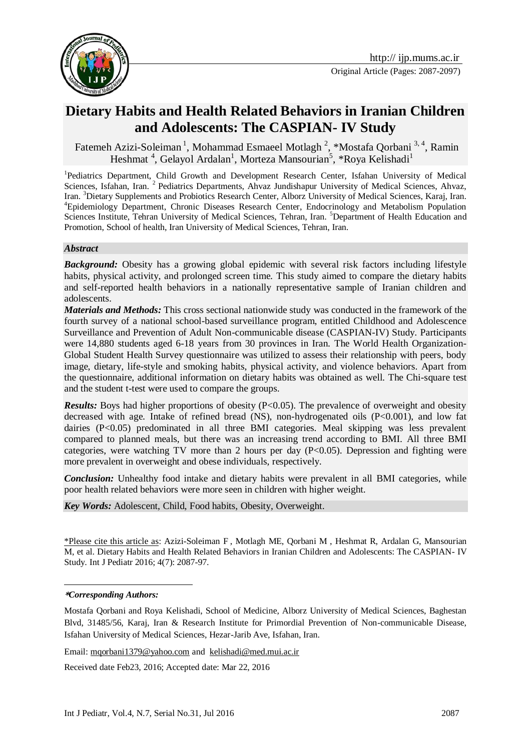



Fatemeh Azizi-Soleiman<sup>1</sup>, Mohammad Esmaeel Motlagh<sup>2</sup>, \*Mostafa Qorbani<sup>3,4</sup>, Ramin Heshmat<sup>4</sup>, Gelayol Ardalan<sup>1</sup>, Morteza Mansourian<sup>5</sup>, \*Roya Kelishadi<sup>1</sup>

<sup>1</sup>Pediatrics Department, Child Growth and Development Research Center, Isfahan University of Medical Sciences, Isfahan, Iran. <sup>2</sup> Pediatrics Departments, Ahvaz Jundishapur University of Medical Sciences, Ahvaz, Iran. <sup>3</sup>Dietary Supplements and Probiotics Research Center, Alborz University of Medical Sciences, Karaj, Iran. <sup>4</sup>Epidemiology Department, Chronic Diseases Research Center, Endocrinology and Metabolism Population Sciences Institute, Tehran University of Medical Sciences, Tehran, Iran. <sup>5</sup>Department of Health Education and Promotion, School of health, Iran University of Medical Sciences, Tehran, Iran.

#### *Abstract*

*Background:* Obesity has a growing global epidemic with several risk factors including lifestyle habits, physical activity, and prolonged screen time. This study aimed to compare the dietary habits and self-reported health behaviors in a nationally representative sample of Iranian children and adolescents.

*Materials and Methods:* This cross sectional nationwide study was conducted in the framework of the fourth survey of a national school-based surveillance program, entitled Childhood and Adolescence Surveillance and Prevention of Adult Non-communicable disease (CASPIAN-IV) Study. Participants were 14,880 students aged 6-18 years from 30 provinces in Iran. The World Health Organization-Global Student Health Survey questionnaire was utilized to assess their relationship with peers, body image, dietary, life-style and smoking habits, physical activity, and violence behaviors. Apart from the questionnaire, additional information on dietary habits was obtained as well. The Chi-square test and the student t-test were used to compare the groups.

*Results:* Boys had higher proportions of obesity (P<0.05). The prevalence of overweight and obesity decreased with age. Intake of refined bread (NS), non-hydrogenated oils  $(P<0.001)$ , and low fat dairies (P<0.05) predominated in all three BMI categories. Meal skipping was less prevalent compared to planned meals, but there was an increasing trend according to BMI. All three BMI categories, were watching TV more than 2 hours per day (P<0.05). Depression and fighting were more prevalent in overweight and obese individuals, respectively.

*Conclusion:* Unhealthy food intake and dietary habits were prevalent in all BMI categories, while poor health related behaviors were more seen in children with higher weight.

*Key Words:* Adolescent, Child, Food habits, Obesity, Overweight.

\*Please cite this article as: Azizi-Soleiman F , Motlagh ME, Qorbani M , Heshmat R, Ardalan G, Mansourian M, et al. Dietary Habits and Health Related Behaviors in Iranian Children and Adolescents: The CASPIAN- IV Study. Int J Pediatr 2016; 4(7): 2087-97.

Email: [mqorbani1379@yahoo.com](mailto:mqorbani1379@yahoo.com) and kelishadi@med.mui.ac.ir

Received date Feb23, 2016; Accepted date: Mar 22, 2016

<sup>1</sup> **\****Corresponding Authors:*

Mostafa Qorbani and Roya Kelishadi, School of Medicine, Alborz University of Medical Sciences, Baghestan Blvd, 31485/56, Karaj, Iran & Research Institute for Primordial Prevention of Non-communicable Disease, Isfahan University of Medical Sciences, Hezar-Jarib Ave, Isfahan, Iran.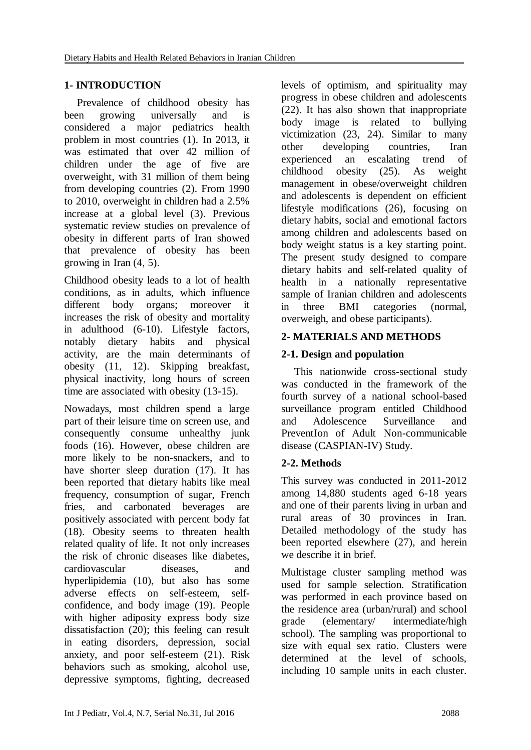## **1- INTRODUCTION**

Prevalence of childhood obesity has been growing universally and is considered a major pediatrics health problem in most countries (1). In 2013, it was estimated that over 42 million of children under the age of five are overweight, with 31 million of them being from developing countries (2). From 1990 to 2010, overweight in children had a 2.5% increase at a global level (3). Previous systematic review studies on prevalence of obesity in different parts of Iran showed that prevalence of obesity has been growing in Iran (4, 5).

Childhood obesity leads to a lot of health conditions, as in adults, which influence different body organs; moreover it increases the risk of obesity and mortality in adulthood (6-10). Lifestyle factors, notably dietary habits and physical activity, are the main determinants of obesity (11, 12). Skipping breakfast, physical inactivity, long hours of screen time are associated with obesity (13-15).

Nowadays, most children spend a large part of their leisure time on screen use, and consequently consume unhealthy junk foods (16). However, obese children are more likely to be non-snackers, and to have shorter sleep duration (17). It has been reported that dietary habits like meal frequency, consumption of sugar, French fries, and carbonated beverages are positively associated with percent body fat (18). Obesity seems to threaten health related quality of life. It not only increases the risk of chronic diseases like diabetes, cardiovascular diseases, and hyperlipidemia (10), but also has some adverse effects on self-esteem, selfconfidence, and body image (19). People with higher adiposity express body size dissatisfaction (20); this feeling can result in eating disorders, depression, social anxiety, and poor self-esteem (21). Risk behaviors such as smoking, alcohol use, depressive symptoms, fighting, decreased levels of optimism, and spirituality may progress in obese children and adolescents (22). It has also shown that inappropriate body image is related to bullying victimization (23, 24). Similar to many other developing countries, Iran experienced an escalating trend of childhood obesity (25). As weight management in obese/overweight children and adolescents is dependent on efficient lifestyle modifications (26), focusing on dietary habits, social and emotional factors among children and adolescents based on body weight status is a key starting point. The present study designed to compare dietary habits and self-related quality of health in a nationally representative sample of Iranian children and adolescents in three BMI categories (normal, overweigh, and obese participants).

### **2- MATERIALS AND METHODS**

## **2-1. Design and population**

This nationwide cross-sectional study was conducted in the framework of the fourth survey of a national school-based surveillance program entitled Childhood and Adolescence Surveillance and PreventIon of Adult Non-communicable disease (CASPIAN-IV) Study.

### **2-2. Methods**

This survey was conducted in 2011-2012 among 14,880 students aged 6-18 years and one of their parents living in urban and rural areas of 30 provinces in Iran. Detailed methodology of the study has been reported elsewhere (27), and herein we describe it in brief.

Multistage cluster sampling method was used for sample selection. Stratification was performed in each province based on the residence area (urban/rural) and school grade (elementary/ intermediate/high school). The sampling was proportional to size with equal sex ratio. Clusters were determined at the level of schools, including 10 sample units in each cluster.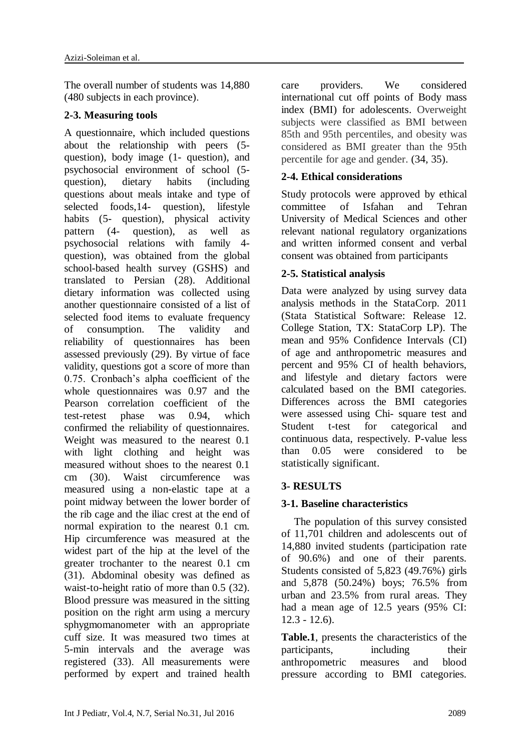The overall number of students was 14,880 (480 subjects in each province).

#### **2-3. Measuring tools**

A questionnaire, which included questions about the relationship with peers (5 question), body image (1- question), and psychosocial environment of school (5 question), dietary habits (including questions about meals intake and type of selected foods,14- question), lifestyle habits (5- question), physical activity pattern (4- question), as well as psychosocial relations with family 4 question), was obtained from the global school-based health survey (GSHS) and translated to Persian (28). Additional dietary information was collected using another questionnaire consisted of a list of selected food items to evaluate frequency of consumption. The validity and reliability of questionnaires has been assessed previously (29). By virtue of face validity, questions got a score of more than 0.75. Cronbach's alpha coefficient of the whole questionnaires was 0.97 and the Pearson correlation coefficient of the test-retest phase was 0.94, which confirmed the reliability of questionnaires. Weight was measured to the nearest 0.1 with light clothing and height was measured without shoes to the nearest 0.1 cm (30). Waist circumference was measured using a non-elastic tape at a point midway between the lower border of the rib cage and the iliac crest at the end of normal expiration to the nearest 0.1 cm. Hip circumference was measured at the widest part of the hip at the level of the greater trochanter to the nearest 0.1 cm (31). Abdominal obesity was defined as waist-to-height ratio of more than 0.5 (32). Blood pressure was measured in the sitting position on the right arm using a mercury sphygmomanometer with an appropriate cuff size. It was measured two times at 5-min intervals and the average was registered (33). All measurements were performed by expert and trained health

care providers. We considered international cut off points of Body mass index (BMI) for adolescents. Overweight subjects were classified as BMI between 85th and 95th percentiles, and obesity was considered as BMI greater than the 95th percentile for age and gender. (34, 35).

# **2-4. Ethical considerations**

Study protocols were approved by ethical committee of Isfahan and Tehran University of Medical Sciences and other relevant national regulatory organizations and written informed consent and verbal consent was obtained from participants

### **2-5. Statistical analysis**

Data were analyzed by using survey data analysis methods in the StataCorp. 2011 (Stata Statistical Software: Release 12. College Station, TX: StataCorp LP). The mean and 95% Confidence Intervals (CI) of age and anthropometric measures and percent and 95% CI of health behaviors, and lifestyle and dietary factors were calculated based on the BMI categories. Differences across the BMI categories were assessed using Chi- square test and Student t-test for categorical and continuous data, respectively. P-value less than 0.05 were considered to be statistically significant.

### **3- RESULTS**

### **3-1. Baseline characteristics**

The population of this survey consisted of 11,701 children and adolescents out of 14,880 invited students (participation rate of 90.6%) and one of their parents. Students consisted of 5,823 (49.76%) girls and 5,878 (50.24%) boys; 76.5% from urban and 23.5% from rural areas. They had a mean age of 12.5 years (95% CI: 12.3 - 12.6).

**Table.1**, presents the characteristics of the participants, including their anthropometric measures and blood pressure according to BMI categories.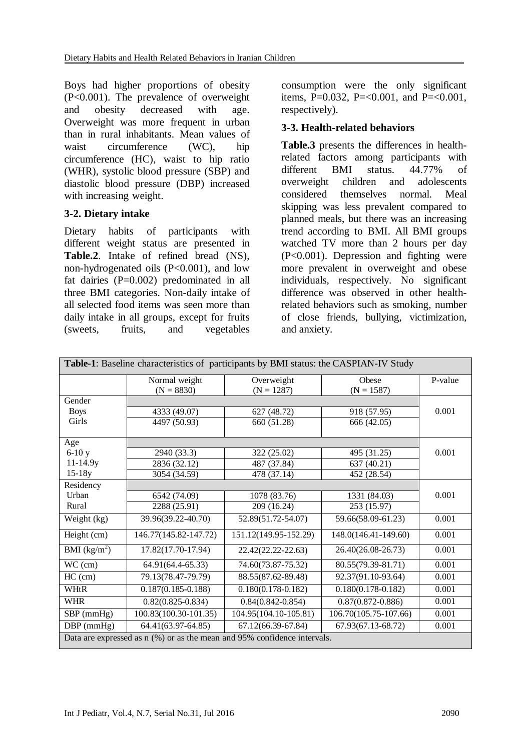Boys had higher proportions of obesity (P<0.001). The prevalence of overweight and obesity decreased with age. Overweight was more frequent in urban than in rural inhabitants. Mean values of waist circumference (WC), hip circumference (HC), waist to hip ratio (WHR), systolic blood pressure (SBP) and diastolic blood pressure (DBP) increased with increasing weight.

#### **3-2. Dietary intake**

Dietary habits of participants with different weight status are presented in **Table.2**. Intake of refined bread (NS), non-hydrogenated oils (P<0.001), and low fat dairies (P=0.002) predominated in all three BMI categories. Non-daily intake of all selected food items was seen more than daily intake in all groups, except for fruits (sweets, fruits, and vegetables

consumption were the only significant items, P=0.032, P=<0.001, and P=<0.001, respectively).

#### **3-3. Health-related behaviors**

**Table.3** presents the differences in healthrelated factors among participants with different BMI status. 44.77% of overweight children and adolescents considered themselves normal. Meal skipping was less prevalent compared to planned meals, but there was an increasing trend according to BMI. All BMI groups watched TV more than 2 hours per day (P<0.001). Depression and fighting were more prevalent in overweight and obese individuals, respectively. No significant difference was observed in other healthrelated behaviors such as smoking, number of close friends, bullying, victimization, and anxiety.

| <b>Table-1:</b> Baseline characteristics of participants by BMI status: the CASPIAN-IV Study |                        |                        |                        |         |  |  |  |
|----------------------------------------------------------------------------------------------|------------------------|------------------------|------------------------|---------|--|--|--|
|                                                                                              | Normal weight          | Overweight             | Obese                  | P-value |  |  |  |
|                                                                                              | $(N = 8830)$           | $(N = 1287)$           | $(N = 1587)$           |         |  |  |  |
| Gender                                                                                       |                        |                        |                        |         |  |  |  |
| <b>Boys</b>                                                                                  | 4333 (49.07)           | 627 (48.72)            | 918 (57.95)            | 0.001   |  |  |  |
| Girls                                                                                        | 4497 (50.93)           | 660 (51.28)            | 666 (42.05)            |         |  |  |  |
| Age                                                                                          |                        |                        |                        |         |  |  |  |
| $6-10y$                                                                                      | 2940 (33.3)            | 322 (25.02)            | 495 (31.25)            | 0.001   |  |  |  |
| $11 - 14.9y$                                                                                 | 2836 (32.12)           | 487 (37.84)            | 637 (40.21)            |         |  |  |  |
| $15-18y$                                                                                     | 3054 (34.59)           | 478 (37.14)            | 452 (28.54)            |         |  |  |  |
| Residency                                                                                    |                        |                        |                        |         |  |  |  |
| Urban                                                                                        | 6542 (74.09)           | 1078 (83.76)           | 1331 (84.03)           | 0.001   |  |  |  |
| Rural                                                                                        | 2288 (25.91)           | 209 (16.24)            | 253 (15.97)            |         |  |  |  |
| Weight (kg)                                                                                  | 39.96(39.22-40.70)     | 52.89(51.72-54.07)     | 59.66(58.09-61.23)     | 0.001   |  |  |  |
| Height (cm)                                                                                  | 146.77(145.82-147.72)  | 151.12(149.95-152.29)  | 148.0(146.41-149.60)   | 0.001   |  |  |  |
| BMI $(kg/m^2)$                                                                               | 17.82(17.70-17.94)     | 22.42(22.22-22.63)     | 26.40(26.08-26.73)     | 0.001   |  |  |  |
| WC (cm)                                                                                      | 64.91(64.4-65.33)      | 74.60(73.87-75.32)     | 80.55(79.39-81.71)     | 0.001   |  |  |  |
| $HC$ (cm)                                                                                    | 79.13(78.47-79.79)     | 88.55(87.62-89.48)     | 92.37(91.10-93.64)     | 0.001   |  |  |  |
| WHtR                                                                                         | $0.187(0.185 - 0.188)$ | $0.180(0.178 - 0.182)$ | $0.180(0.178 - 0.182)$ | 0.001   |  |  |  |
| <b>WHR</b>                                                                                   | $0.82(0.825 - 0.834)$  | $0.84(0.842 - 0.854)$  | $0.87(0.872 - 0.886)$  | 0.001   |  |  |  |
| SBP (mmHg)                                                                                   | 100.83(100.30-101.35)  | 104.95(104.10-105.81)  | 106.70(105.75-107.66)  | 0.001   |  |  |  |
| $DBP$ (mmHg)                                                                                 | 64.41(63.97-64.85)     | 67.12(66.39-67.84)     | 67.93(67.13-68.72)     | 0.001   |  |  |  |
| Data are expressed as n (%) or as the mean and 95% confidence intervals.                     |                        |                        |                        |         |  |  |  |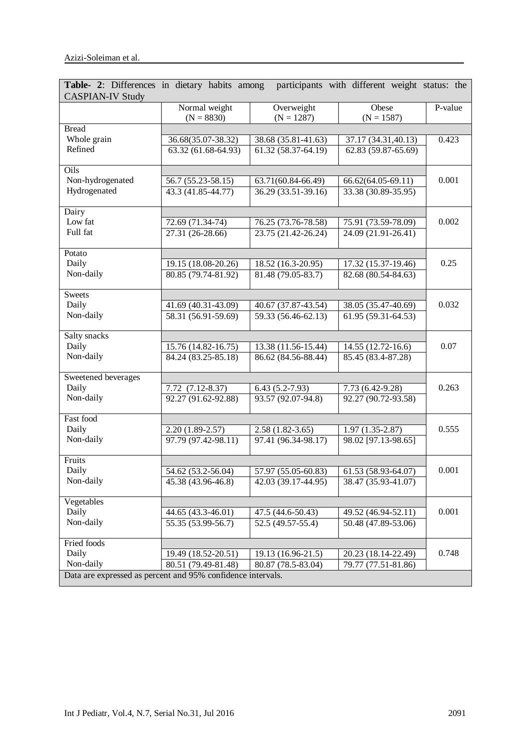| participants with different weight status: the<br>Table- 2: Differences in dietary habits among<br><b>CASPIAN-IV Study</b> |                                 |                            |                       |         |  |  |
|----------------------------------------------------------------------------------------------------------------------------|---------------------------------|----------------------------|-----------------------|---------|--|--|
|                                                                                                                            | Normal weight<br>$(N = 8830)$   | Overweight<br>$(N = 1287)$ | Obese<br>$(N = 1587)$ | P-value |  |  |
| <b>Bread</b>                                                                                                               |                                 |                            |                       |         |  |  |
| Whole grain                                                                                                                | 36.68(35.07-38.32)              | 38.68 (35.81-41.63)        | 37.17 (34.31,40.13)   | 0.423   |  |  |
| Refined                                                                                                                    | $63.32(61.68-64.93)$            | 61.32 (58.37-64.19)        | 62.83 (59.87-65.69)   |         |  |  |
| Oils                                                                                                                       |                                 |                            |                       |         |  |  |
| Non-hydrogenated                                                                                                           | 56.7 (55.23-58.15)              | 63.71(60.84-66.49)         | 66.62(64.05-69.11)    | 0.001   |  |  |
| Hydrogenated                                                                                                               | 43.3 (41.85-44.77)              | 36.29 (33.51-39.16)        | 33.38 (30.89-35.95)   |         |  |  |
| Dairy                                                                                                                      |                                 |                            |                       |         |  |  |
| Low fat                                                                                                                    | 72.69 (71.34-74)                | 76.25 (73.76-78.58)        | 75.91 (73.59-78.09)   | 0.002   |  |  |
| Full fat                                                                                                                   | 27.31 (26-28.66)                | 23.75 (21.42-26.24)        | 24.09 (21.91-26.41)   |         |  |  |
| Potato                                                                                                                     |                                 |                            |                       |         |  |  |
| Daily                                                                                                                      | 19.15 (18.08-20.26)             | 18.52 (16.3-20.95)         | 17.32 (15.37-19.46)   | 0.25    |  |  |
| Non-daily                                                                                                                  | 80.85 (79.74-81.92)             | $81.48(79.05 - 83.7)$      | 82.68 (80.54-84.63)   |         |  |  |
| <b>Sweets</b>                                                                                                              |                                 |                            |                       |         |  |  |
| Daily                                                                                                                      | 41.69 (40.31-43.09)             | 40.67 (37.87-43.54)        | 38.05 (35.47-40.69)   | 0.032   |  |  |
| Non-daily                                                                                                                  | $\overline{58.31(56.91-59.69)}$ | 59.33 (56.46-62.13)        | 61.95 (59.31-64.53)   |         |  |  |
| Salty snacks                                                                                                               |                                 |                            |                       |         |  |  |
| Daily                                                                                                                      | 15.76 (14.82-16.75)             | 13.38 (11.56-15.44)        | 14.55 (12.72-16.6)    | 0.07    |  |  |
| Non-daily                                                                                                                  | 84.24 (83.25-85.18)             | 86.62 (84.56-88.44)        | 85.45 (83.4-87.28)    |         |  |  |
| Sweetened beverages                                                                                                        |                                 |                            |                       |         |  |  |
| Daily                                                                                                                      | 7.72 (7.12-8.37)                | $6.43(5.2 - 7.93)$         | 7.73 (6.42-9.28)      | 0.263   |  |  |
| Non-daily                                                                                                                  | 92.27 (91.62-92.88)             | $93.57(92.07-94.8)$        | $92.27(90.72-93.58)$  |         |  |  |
| Fast food                                                                                                                  |                                 |                            |                       |         |  |  |
| Daily                                                                                                                      | $2.20(1.89-2.57)$               | $2.58(1.82-3.65)$          | $1.97(1.35-2.87)$     | 0.555   |  |  |
| Non-daily                                                                                                                  | $97.79(97.42-98.11)$            | 97.41 (96.34-98.17)        | 98.02 [97.13-98.65]   |         |  |  |
| Fruits                                                                                                                     |                                 |                            |                       |         |  |  |
| Daily                                                                                                                      | 54.62 (53.2-56.04)              | 57.97 (55.05-60.83)        | 61.53 (58.93-64.07)   | 0.001   |  |  |
| Non-daily                                                                                                                  | 45.38 (43.96-46.8)              | 42.03 (39.17-44.95)        | 38.47 (35.93-41.07)   |         |  |  |
| Vegetables                                                                                                                 |                                 |                            |                       |         |  |  |
| Daily                                                                                                                      | 44.65 (43.3-46.01)              | 47.5 (44.6-50.43)          | 49.52 (46.94-52.11)   | 0.001   |  |  |
| Non-daily                                                                                                                  | 55.35 (53.99-56.7)              | 52.5 (49.57-55.4)          | 50.48 (47.89-53.06)   |         |  |  |
| Fried foods                                                                                                                |                                 |                            |                       |         |  |  |
| Daily                                                                                                                      | 19.49 (18.52-20.51)             | 19.13 (16.96-21.5)         | 20.23 (18.14-22.49)   | 0.748   |  |  |
| Non-daily                                                                                                                  | 80.51 (79.49-81.48)             | 80.87 (78.5-83.04)         | 79.77 (77.51-81.86)   |         |  |  |
| Data are expressed as percent and 95% confidence intervals.                                                                |                                 |                            |                       |         |  |  |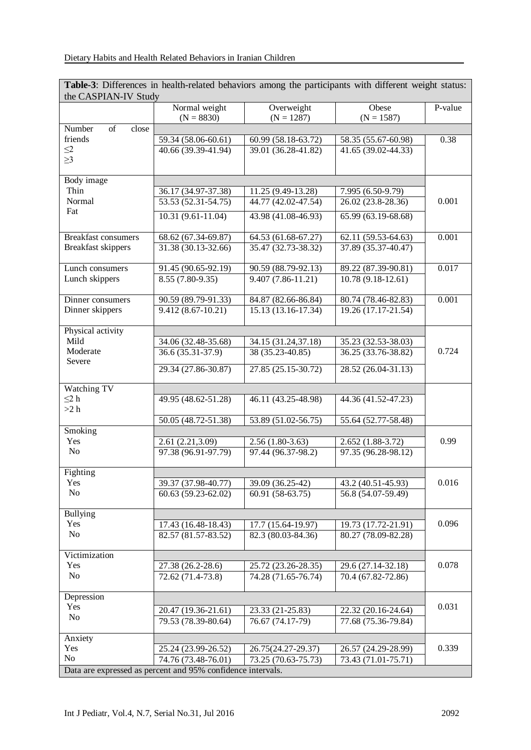**Table-3**: Differences in health-related behaviors among the participants with different weight status: the CASPIAN-IV Study

| the CASPIAN-IV Study                                        |                               |                       |                      |         |  |  |  |
|-------------------------------------------------------------|-------------------------------|-----------------------|----------------------|---------|--|--|--|
|                                                             | Normal weight                 | Overweight            | Obese                | P-value |  |  |  |
|                                                             | $(N = 8830)$                  | $(N = 1287)$          | $(N = 1587)$         |         |  |  |  |
| Number<br>of<br>close                                       |                               |                       |                      |         |  |  |  |
| friends                                                     | 59.34 (58.06-60.61)           | 60.99 (58.18-63.72)   | 58.35 (55.67-60.98)  | 0.38    |  |  |  |
| $\leq$ 2                                                    | 40.66 (39.39-41.94)           | 39.01 (36.28-41.82)   | 41.65 (39.02-44.33)  |         |  |  |  |
| $\geq$ 3                                                    |                               |                       |                      |         |  |  |  |
|                                                             |                               |                       |                      |         |  |  |  |
| Body image                                                  |                               |                       |                      |         |  |  |  |
| Thin                                                        | 36.17 (34.97-37.38)           | 11.25 (9.49-13.28)    | 7.995 (6.50-9.79)    |         |  |  |  |
| Normal                                                      | 53.53 (52.31-54.75)           | 44.77 (42.02-47.54)   | 26.02 (23.8-28.36)   | 0.001   |  |  |  |
| Fat                                                         | $10.31(9.61-11.04)$           | 43.98 (41.08-46.93)   | 65.99 (63.19-68.68)  |         |  |  |  |
|                                                             |                               |                       |                      |         |  |  |  |
| <b>Breakfast consumers</b>                                  | 68.62 (67.34-69.87)           | 64.53 (61.68-67.27)   | 62.11 (59.53-64.63)  | 0.001   |  |  |  |
| <b>Breakfast skippers</b>                                   | 31.38 (30.13-32.66)           | 35.47 (32.73-38.32)   | 37.89 (35.37-40.47)  |         |  |  |  |
|                                                             |                               |                       |                      |         |  |  |  |
| Lunch consumers                                             | 91.45 (90.65-92.19)           | 90.59 (88.79-92.13)   | 89.22 (87.39-90.81)  | 0.017   |  |  |  |
| Lunch skippers                                              | $\overline{8.55}$ (7.80-9.35) | $9.407(7.86 - 11.21)$ | $10.78(9.18-12.61)$  |         |  |  |  |
|                                                             |                               |                       |                      |         |  |  |  |
| Dinner consumers                                            | 90.59 (89.79-91.33)           | 84.87 (82.66-86.84)   | 80.74 (78.46-82.83)  | 0.001   |  |  |  |
| Dinner skippers                                             | $9.412(8.67-10.21)$           | $15.13(13.16-17.34)$  | $19.26(17.17-21.54)$ |         |  |  |  |
|                                                             |                               |                       |                      |         |  |  |  |
| Physical activity                                           |                               |                       |                      |         |  |  |  |
| Mild                                                        | 34.06 (32.48-35.68)           | 34.15 (31.24,37.18)   | 35.23 (32.53-38.03)  |         |  |  |  |
| Moderate                                                    | 36.6 (35.31-37.9)             | 38 (35.23-40.85)      | 36.25 (33.76-38.82)  | 0.724   |  |  |  |
| Severe                                                      |                               |                       |                      |         |  |  |  |
|                                                             | 29.34 (27.86-30.87)           | 27.85 (25.15-30.72)   | 28.52 (26.04-31.13)  |         |  |  |  |
| Watching TV                                                 |                               |                       |                      |         |  |  |  |
| $\leq$ 2 h                                                  | 49.95 (48.62-51.28)           | 46.11 (43.25-48.98)   | 44.36 (41.52-47.23)  |         |  |  |  |
| >2 h                                                        |                               |                       |                      |         |  |  |  |
|                                                             | 50.05 (48.72-51.38)           | 53.89 (51.02-56.75)   | 55.64 (52.77-58.48)  |         |  |  |  |
| Smoking                                                     |                               |                       |                      |         |  |  |  |
| Yes                                                         | 2.61 (2.21,3.09)              | $2.56(1.80-3.63)$     | $2.652(1.88-3.72)$   | 0.99    |  |  |  |
| N <sub>o</sub>                                              | 97.38 (96.91-97.79)           | 97.44 (96.37-98.2)    | 97.35 (96.28-98.12)  |         |  |  |  |
|                                                             |                               |                       |                      |         |  |  |  |
| Fighting                                                    |                               |                       |                      |         |  |  |  |
| Yes                                                         | 39.37 (37.98-40.77)           | 39.09 (36.25-42)      | 43.2 (40.51-45.93)   | 0.016   |  |  |  |
| No                                                          | 60.63 (59.23-62.02)           | 60.91 (58-63.75)      | 56.8 (54.07-59.49)   |         |  |  |  |
|                                                             |                               |                       |                      |         |  |  |  |
| <b>Bullying</b>                                             |                               |                       |                      |         |  |  |  |
| Yes                                                         | 17.43 (16.48-18.43)           | 17.7 (15.64-19.97)    | 19.73 (17.72-21.91)  | 0.096   |  |  |  |
| No                                                          | 82.57 (81.57-83.52)           | 82.3 (80.03-84.36)    | 80.27 (78.09-82.28)  |         |  |  |  |
|                                                             |                               |                       |                      |         |  |  |  |
| Victimization                                               |                               |                       |                      |         |  |  |  |
| Yes                                                         | 27.38 (26.2-28.6)             | 25.72 (23.26-28.35)   | 29.6 (27.14-32.18)   | 0.078   |  |  |  |
| N <sub>o</sub>                                              | 72.62 (71.4-73.8)             | 74.28 (71.65-76.74)   | 70.4 (67.82-72.86)   |         |  |  |  |
|                                                             |                               |                       |                      |         |  |  |  |
| Depression                                                  |                               |                       |                      |         |  |  |  |
| Yes                                                         | 20.47 (19.36-21.61)           | 23.33 (21-25.83)      | 22.32 (20.16-24.64)  | 0.031   |  |  |  |
| No                                                          | 79.53 (78.39-80.64)           | 76.67 (74.17-79)      | 77.68 (75.36-79.84)  |         |  |  |  |
|                                                             |                               |                       |                      |         |  |  |  |
| Anxiety                                                     |                               |                       |                      |         |  |  |  |
| Yes                                                         | 25.24 (23.99-26.52)           | 26.75(24.27-29.37)    | 26.57 (24.29-28.99)  | 0.339   |  |  |  |
| No                                                          | 74.76 (73.48-76.01)           | 73.25 (70.63-75.73)   | 73.43 (71.01-75.71)  |         |  |  |  |
| Data are expressed as percent and 95% confidence intervals. |                               |                       |                      |         |  |  |  |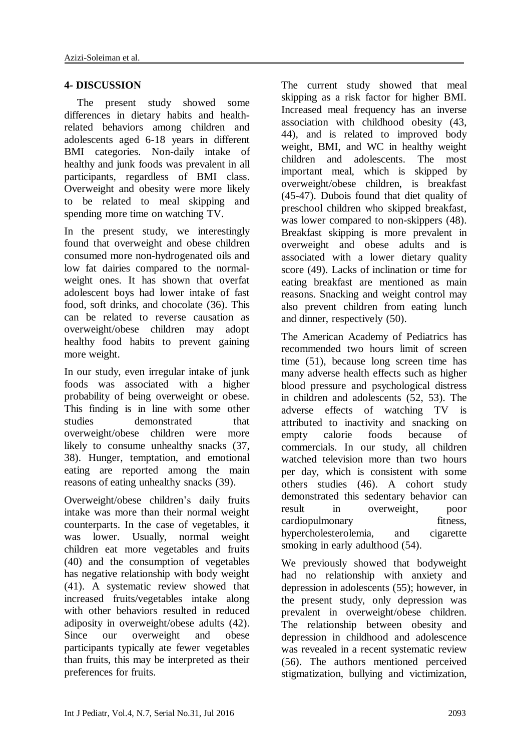#### **4- DISCUSSION**

The present study showed some differences in dietary habits and healthrelated behaviors among children and adolescents aged 6-18 years in different BMI categories. Non-daily intake of healthy and junk foods was prevalent in all participants, regardless of BMI class. Overweight and obesity were more likely to be related to meal skipping and spending more time on watching TV.

In the present study, we interestingly found that overweight and obese children consumed more non-hydrogenated oils and low fat dairies compared to the normalweight ones. It has shown that overfat adolescent boys had lower intake of fast food, soft drinks, and chocolate (36). This can be related to reverse causation as overweight/obese children may adopt healthy food habits to prevent gaining more weight.

In our study, even irregular intake of junk foods was associated with a higher probability of being overweight or obese. This finding is in line with some other studies demonstrated that overweight/obese children were more likely to consume unhealthy snacks (37, 38). Hunger, temptation, and emotional eating are reported among the main reasons of eating unhealthy snacks (39).

Overweight/obese children's daily fruits intake was more than their normal weight counterparts. In the case of vegetables, it was lower. Usually, normal weight children eat more vegetables and fruits (40) and the consumption of vegetables has negative relationship with body weight (41). A systematic review showed that increased fruits/vegetables intake along with other behaviors resulted in reduced adiposity in overweight/obese adults (42). Since our overweight and obese participants typically ate fewer vegetables than fruits, this may be interpreted as their preferences for fruits.

The current study showed that meal skipping as a risk factor for higher BMI. Increased meal frequency has an inverse association with childhood obesity (43, 44), and is related to improved body weight, BMI, and WC in healthy weight children and adolescents. The most important meal, which is skipped by overweight/obese children, is breakfast (45-47). Dubois found that diet quality of preschool children who skipped breakfast, was lower compared to non-skippers (48). Breakfast skipping is more prevalent in overweight and obese adults and is associated with a lower dietary quality score (49). Lacks of inclination or time for eating breakfast are mentioned as main reasons. Snacking and weight control may also prevent children from eating lunch and dinner, respectively (50).

The American Academy of Pediatrics has recommended two hours limit of screen time (51), because long screen time has many adverse health effects such as higher blood pressure and psychological distress in children and adolescents (52, 53). The adverse effects of watching TV is attributed to inactivity and snacking on empty calorie foods because of commercials. In our study, all children watched television more than two hours per day, which is consistent with some others studies (46). A cohort study demonstrated this sedentary behavior can result in overweight, poor cardiopulmonary fitness, hypercholesterolemia, and cigarette smoking in early adulthood  $(54)$ .

We previously showed that bodyweight had no relationship with anxiety and depression in adolescents (55); however, in the present study, only depression was prevalent in overweight/obese children. The relationship between obesity and depression in childhood and adolescence was revealed in a recent systematic review (56). The authors mentioned perceived stigmatization, bullying and victimization,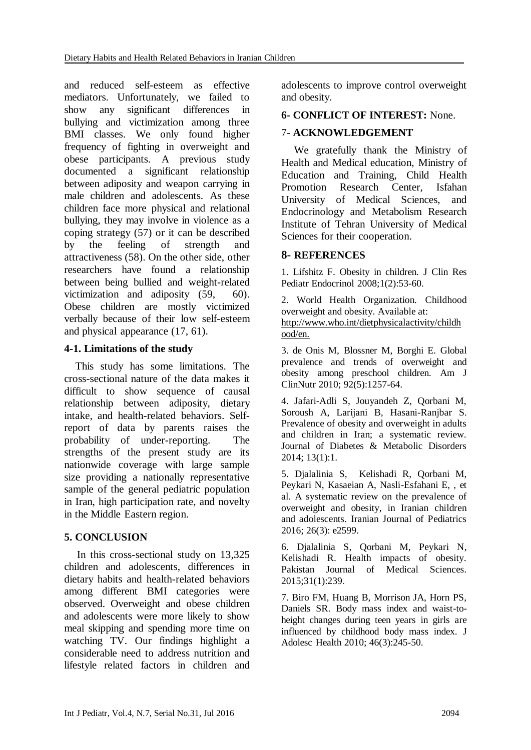and reduced self-esteem as effective mediators. Unfortunately, we failed to show any significant differences in bullying and victimization among three BMI classes. We only found higher frequency of fighting in overweight and obese participants. A previous study documented a significant relationship between adiposity and weapon carrying in male children and adolescents. As these children face more physical and relational bullying, they may involve in violence as a coping strategy (57) or it can be described by the feeling of strength and attractiveness (58). On the other side, other researchers have found a relationship between being bullied and weight-related victimization and adiposity (59, 60). Obese children are mostly victimized verbally because of their low self-esteem and physical appearance (17, 61).

#### **4-1. Limitations of the study**

 This study has some limitations. The cross-sectional nature of the data makes it difficult to show sequence of causal relationship between adiposity, dietary intake, and health-related behaviors. Selfreport of data by parents raises the probability of under-reporting. The strengths of the present study are its nationwide coverage with large sample size providing a nationally representative sample of the general pediatric population in Iran, high participation rate, and novelty in the Middle Eastern region.

### **5. CONCLUSION**

In this cross-sectional study on 13,325 children and adolescents, differences in dietary habits and health-related behaviors among different BMI categories were observed. Overweight and obese children and adolescents were more likely to show meal skipping and spending more time on watching TV. Our findings highlight a considerable need to address nutrition and lifestyle related factors in children and adolescents to improve control overweight and obesity.

#### **6- CONFLICT OF INTEREST:** None.

#### 7- **ACKNOWLEDGEMENT**

We gratefully thank the Ministry of Health and Medical education, Ministry of Education and Training, Child Health Promotion Research Center, Isfahan University of Medical Sciences, and Endocrinology and Metabolism Research Institute of Tehran University of Medical Sciences for their cooperation.

#### **8- REFERENCES**

1. Lifshitz F. Obesity in children. J Clin Res Pediatr Endocrinol 2008;1(2):53-60.

2. World Health Organization. Childhood overweight and obesity. Available at: [http://www.who.int/dietphysicala](http://www.who.int/dietphysical)ctivity/childh ood/en.

3. de Onis M, Blossner M, Borghi E. Global prevalence and trends of overweight and obesity among preschool children. Am J ClinNutr 2010; 92(5):1257-64.

4. Jafari-Adli S, Jouyandeh Z, Qorbani M, Soroush A, Larijani B, Hasani-Ranjbar S. Prevalence of obesity and overweight in adults and children in Iran; a systematic review. Journal of Diabetes & Metabolic Disorders 2014; 13(1):1.

5. Djalalinia S, Kelishadi R, Qorbani M, Peykari N, Kasaeian A, Nasli-Esfahani E, , et al. A systematic review on the prevalence of overweight and obesity, in Iranian children and adolescents. Iranian Journal of Pediatrics 2016; 26(3): e2599.

6. Djalalinia S, Qorbani M, Peykari N, Kelishadi R. Health impacts of obesity. Pakistan Journal of Medical Sciences. 2015;31(1):239.

7. Biro FM, Huang B, Morrison JA, Horn PS, Daniels SR. Body mass index and waist-toheight changes during teen years in girls are influenced by childhood body mass index. J Adolesc Health 2010; 46(3):245-50.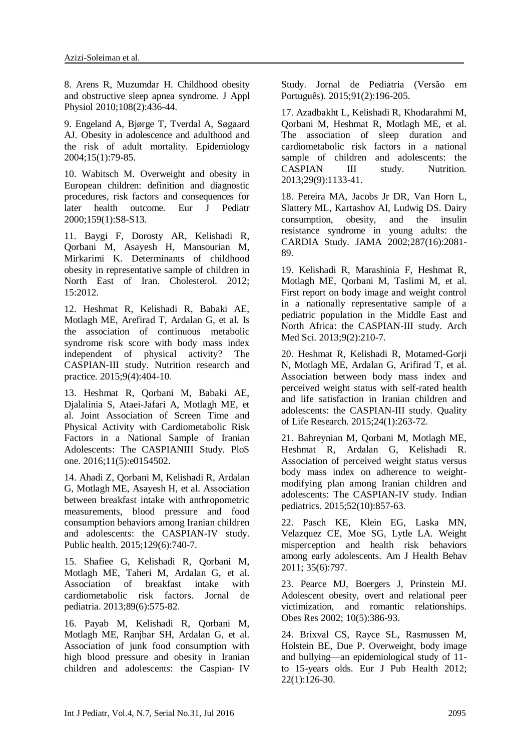8. Arens R, Muzumdar H. Childhood obesity and obstructive sleep apnea syndrome. J Appl Physiol 2010;108(2):436-44.

9. Engeland A, Bjørge T, Tverdal A, Søgaard AJ. Obesity in adolescence and adulthood and the risk of adult mortality. Epidemiology 2004;15(1):79-85.

10. Wabitsch M. Overweight and obesity in European children: definition and diagnostic procedures, risk factors and consequences for later health outcome. Eur J Pediatr 2000;159(1):S8-S13.

11. Baygi F, Dorosty AR, Kelishadi R, Qorbani M, Asayesh H, Mansourian M, Mirkarimi K. Determinants of childhood obesity in representative sample of children in North East of Iran. Cholesterol. 2012; 15:2012.

12. Heshmat R, Kelishadi R, Babaki AE, Motlagh ME, Arefirad T, Ardalan G, et al. Is the association of continuous metabolic syndrome risk score with body mass index independent of physical activity? The CASPIAN-III study. Nutrition research and practice. 2015;9(4):404-10.

13. Heshmat R, Qorbani M, Babaki AE, Djalalinia S, Ataei-Jafari A, Motlagh ME, et al. Joint Association of Screen Time and Physical Activity with Cardiometabolic Risk Factors in a National Sample of Iranian Adolescents: The CASPIANIII Study. PloS one. 2016;11(5):e0154502.

14. Ahadi Z, Qorbani M, Kelishadi R, Ardalan G, Motlagh ME, Asayesh H, et al. Association between breakfast intake with anthropometric measurements, blood pressure and food consumption behaviors among Iranian children and adolescents: the CASPIAN-IV study. Public health. 2015;129(6):740-7.

15. Shafiee G, Kelishadi R, Qorbani M, Motlagh ME, Taheri M, Ardalan G, et al. Association of breakfast intake with cardiometabolic risk factors. Jornal de pediatria. 2013;89(6):575-82.

16. Payab M, Kelishadi R, Qorbani M, Motlagh ME, Ranjbar SH, Ardalan G, et al. Association of junk food consumption with high blood pressure and obesity in Iranian children and adolescents: the Caspian‐ IV Study. Jornal de Pediatria (Versão em Português). 2015;91(2):196-205.

17. Azadbakht L, Kelishadi R, Khodarahmi M, Qorbani M, Heshmat R, Motlagh ME, et al. The association of sleep duration and cardiometabolic risk factors in a national sample of children and adolescents: the CASPIAN III study. Nutrition. 2013;29(9):1133-41.

18. Pereira MA, Jacobs Jr DR, Van Horn L, Slattery ML, Kartashov AI, Ludwig DS. Dairy consumption, obesity, and the insulin resistance syndrome in young adults: the CARDIA Study. JAMA 2002;287(16):2081- 89.

19. Kelishadi R, Marashinia F, Heshmat R, Motlagh ME, Qorbani M, Taslimi M, et al. First report on body image and weight control in a nationally representative sample of a pediatric population in the Middle East and North Africa: the CASPIAN-III study. Arch Med Sci. 2013;9(2):210-7.

20. Heshmat R, Kelishadi R, Motamed-Gorji N, Motlagh ME, Ardalan G, Arifirad T, et al. Association between body mass index and perceived weight status with self-rated health and life satisfaction in Iranian children and adolescents: the CASPIAN-III study. Quality of Life Research. 2015;24(1):263-72.

21. Bahreynian M, Qorbani M, Motlagh ME, Heshmat R, Ardalan G, Kelishadi R. Association of perceived weight status versus body mass index on adherence to weightmodifying plan among Iranian children and adolescents: The CASPIAN-IV study. Indian pediatrics. 2015;52(10):857-63.

22. Pasch KE, Klein EG, Laska MN, Velazquez CE, Moe SG, Lytle LA. Weight misperception and health risk behaviors among early adolescents. Am J Health Behav 2011; 35(6):797.

23. Pearce MJ, Boergers J, Prinstein MJ. Adolescent obesity, overt and relational peer victimization, and romantic relationships. Obes Res 2002; 10(5):386-93.

24. Brixval CS, Rayce SL, Rasmussen M, Holstein BE, Due P. Overweight, body image and bullying—an epidemiological study of 11 to 15-years olds. Eur J Pub Health 2012; 22(1):126-30.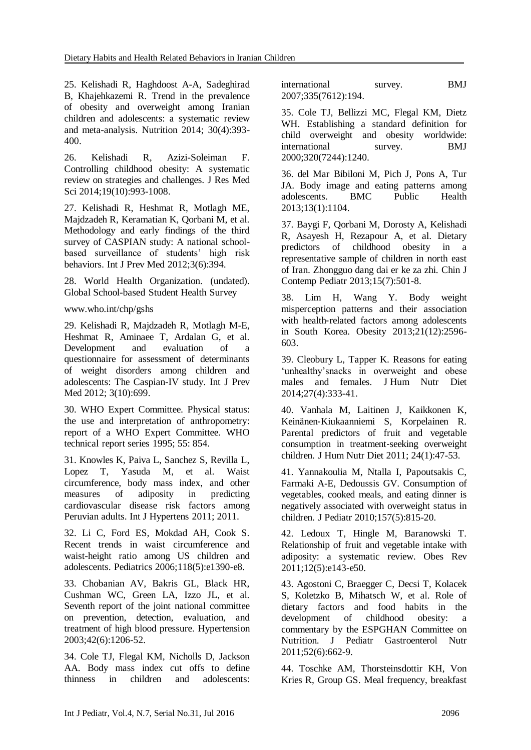25. Kelishadi R, Haghdoost A-A, Sadeghirad B, Khajehkazemi R. Trend in the prevalence of obesity and overweight among Iranian children and adolescents: a systematic review and meta-analysis. Nutrition 2014; 30(4):393- 400.

26. Kelishadi R, Azizi-Soleiman F. Controlling childhood obesity: A systematic review on strategies and challenges. J Res Med Sci 2014:19(10):993-1008.

27. Kelishadi R, Heshmat R, Motlagh ME, Majdzadeh R, Keramatian K, Qorbani M, et al. Methodology and early findings of the third survey of CASPIAN study: A national schoolbased surveillance of students' high risk behaviors. Int J Prev Med 2012;3(6):394.

28. World Health Organization. (undated). Global School-based Student Health Survey

www.who.int/chp/gshs

29. Kelishadi R, Majdzadeh R, Motlagh M-E, Heshmat R, Aminaee T, Ardalan G, et al. Development and evaluation of a questionnaire for assessment of determinants of weight disorders among children and adolescents: The Caspian-IV study. Int J Prev Med 2012; 3(10):699.

30. WHO Expert Committee. Physical status: the use and interpretation of anthropometry: report of a WHO Expert Committee. WHO technical report series 1995; 55: 854.

31. Knowles K, Paiva L, Sanchez S, Revilla L, Lopez T, Yasuda M, et al. Waist circumference, body mass index, and other measures of adiposity in predicting cardiovascular disease risk factors among Peruvian adults. Int J Hypertens 2011; 2011.

32. Li C, Ford ES, Mokdad AH, Cook S. Recent trends in waist circumference and waist-height ratio among US children and adolescents. Pediatrics 2006;118(5):e1390-e8.

33. Chobanian AV, Bakris GL, Black HR, Cushman WC, Green LA, Izzo JL, et al. Seventh report of the joint national committee on prevention, detection, evaluation, and treatment of high blood pressure. Hypertension 2003;42(6):1206-52.

34. Cole TJ, Flegal KM, Nicholls D, Jackson AA. Body mass index cut offs to define thinness in children and adolescents:

international survey. BMJ 2007;335(7612):194.

35. Cole TJ, Bellizzi MC, Flegal KM, Dietz WH. Establishing a standard definition for child overweight and obesity worldwide: international survey. BMJ 2000;320(7244):1240.

36. del Mar Bibiloni M, Pich J, Pons A, Tur JA. Body image and eating patterns among adolescents. BMC Public Health 2013;13(1):1104.

37. Baygi F, Qorbani M, Dorosty A, Kelishadi R, Asayesh H, Rezapour A, et al. Dietary predictors of childhood obesity in a representative sample of children in north east of Iran. Zhongguo dang dai er ke za zhi. Chin J Contemp Pediatr 2013;15(7):501-8.

38. Lim H, Wang Y. Body weight misperception patterns and their association with health-related factors among adolescents in South Korea. Obesity 2013;21(12):2596- 603.

39. Cleobury L, Tapper K. Reasons for eating 'unhealthy'snacks in overweight and obese males and females. J Hum Nutr Diet 2014;27(4):333-41.

40. Vanhala M, Laitinen J, Kaikkonen K, Keinänen‐Kiukaanniemi S, Korpelainen R. Parental predictors of fruit and vegetable consumption in treatment‐seeking overweight children. J Hum Nutr Diet 2011; 24(1):47-53.

41. Yannakoulia M, Ntalla I, Papoutsakis C, Farmaki A-E, Dedoussis GV. Consumption of vegetables, cooked meals, and eating dinner is negatively associated with overweight status in children. J Pediatr 2010;157(5):815-20.

42. Ledoux T, Hingle M, Baranowski T. Relationship of fruit and vegetable intake with adiposity: a systematic review. Obes Rev 2011;12(5):e143-e50.

43. Agostoni C, Braegger C, Decsi T, Kolacek S, Koletzko B, Mihatsch W, et al. Role of dietary factors and food habits in the development of childhood obesity: a commentary by the ESPGHAN Committee on Nutrition. J Pediatr Gastroenterol Nutr 2011;52(6):662-9.

44. Toschke AM, Thorsteinsdottir KH, Von Kries R, Group GS. Meal frequency, breakfast